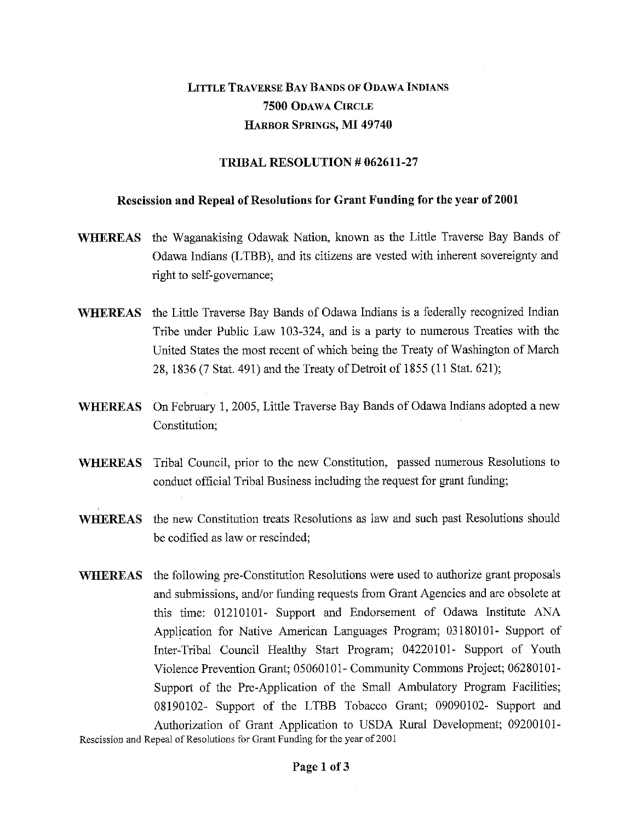## LITTLE TRAVERSE BAY BANDS OF ODAWA INDIANS **7500** ODAWA CIRCLE HARBOR SPRINGS, **MI 49740**

## **TRIBAL RESOLUTION # 062611-27**

## **Rescission and Repeal of Resolutions for Grant Funding for the year of 2001**

- **WHEREAS** the Waganakising Odawak Nation, known as the Little Traverse Bay Bands of Odawa Indians (LTBB), and its citizens are vested with inherent sovereignty and right to self-governance;
- **WHEREAS** the Little Traverse Bay Bands of Odawa Indians is a federally recognized Indian Tribe under Public Law 103-324, and is a party to numerous Treaties with the United States the most recent of which being the Treaty of Washington of March 28, 1836 (7 Stat. 491) and the Treaty of Detroit of 1855 (11 Stat. 621);
- **WHEREAS** On February 1, 2005, Little Traverse Bay Bands of Odawa Indians adopted a new Constitution;
- **WHEREAS** Tribal Council, prior to the new Constitution, passed numerous Resolutions to conduct official Tribal Business including the request for grant funding;
- **WHEREAS** the new Constitution treats Resolutions as law and such past Resolutions should be codified as law or rescinded;
- **WHEREAS** the following pre-Constitution Resolutions were used to authorize grant proposals and submissions, and/or funding requests from Grant Agencies and are obsolete at this time: 01210101- Support and Endorsement of Odawa Institute ANA Application for Native American Languages Program; 03180101- Support of Inter-Tribal Council Healthy Start Program; 04220101- Support of Youth Violence Prevention Grant; 05060101- Community Commons Project; 06280101- Support of the Pre-Application of the Small Ambulatory Program Facilities; 08190102- Support of the LTBB Tobacco Grant; 09090102- Support and Authorization of Grant Application to USDA Rural Development; 09200101- Rescission and Repeal of Resolutions for Grant Funding for the year of 2001

**Page 1 of 3**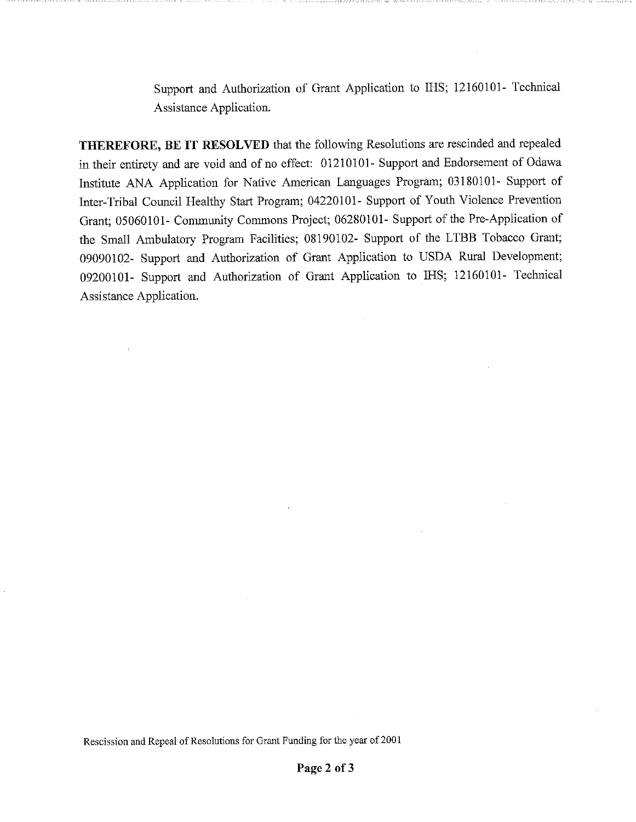Support and Authorization of Grant Application to IHS; 12160101- Technical Assistance Application.

THEREFORE, BE IT RESOLVED that the following Resolutions are rescinded and repealed in their entirety and are void and of no effect: 01210101- Support and Endorsement of Odawa Institute ANA Application for Native American Languages Program; 03180101- Support of Inter-Tribal Council Healthy Start Program; 04220101- Support of Youth Violence Prevention Grant; 05060101- Community Commons Project; 06280101- Support of the Pre-Application of the Small Ambulatory Program Facilities; 08190102- Support of the LTBB Tobacco Grant; 09090102- Support and Authorization of Grant Application to USDA Rural Development; 09200101- Support and Authorization of Grant Application to IHS; 12160101- Technical Assistance Application.

Rescission and Repeal of Resolutions for Grant Funding for the year of 2001